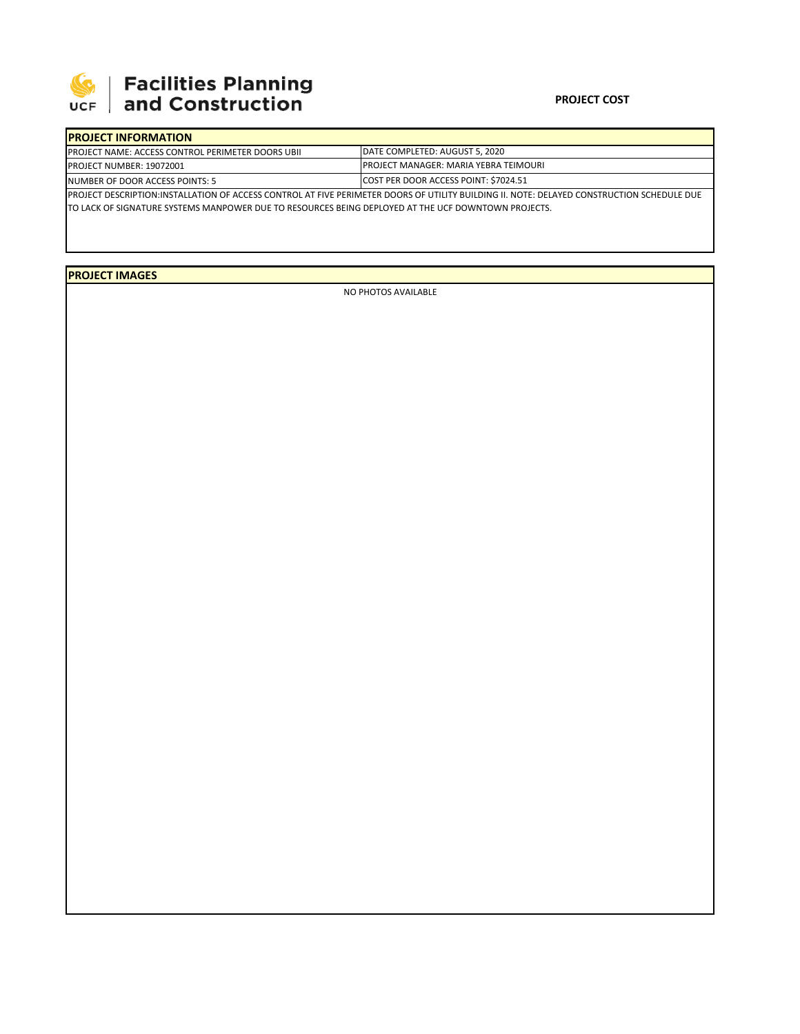

## **SEPTE AND Facilities Planning**<br>UCF and Construction

## **PROJECT COST**

| <b>IPROJECT INFORMATION</b>                                                                                                                |                                                                                 |  |  |  |  |  |
|--------------------------------------------------------------------------------------------------------------------------------------------|---------------------------------------------------------------------------------|--|--|--|--|--|
| <b>IPROJECT NAME: ACCESS CONTROL PERIMETER DOORS UBII</b>                                                                                  | DATE COMPLETED: AUGUST 5, 2020<br><b>IPROJECT MANAGER: MARIA YEBRA TEIMOURI</b> |  |  |  |  |  |
| <b>PROJECT NUMBER: 19072001</b>                                                                                                            |                                                                                 |  |  |  |  |  |
| INUMBER OF DOOR ACCESS POINTS: 5                                                                                                           | COST PER DOOR ACCESS POINT: \$7024.51                                           |  |  |  |  |  |
| PROJECT DESCRIPTION:INSTALLATION OF ACCESS CONTROL AT FIVE PERIMETER DOORS OF UTILITY BUILDING II. NOTE: DELAYED CONSTRUCTION SCHEDULE DUE |                                                                                 |  |  |  |  |  |
| TO LACK OF SIGNATURE SYSTEMS MANPOWER DUE TO RESOURCES BEING DEPLOYED AT THE UCF DOWNTOWN PROJECTS.                                        |                                                                                 |  |  |  |  |  |

**PROJECT IMAGES**

NO PHOTOS AVAILABLE